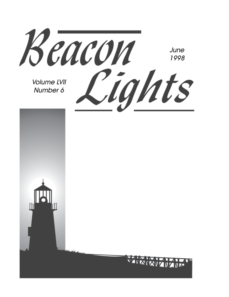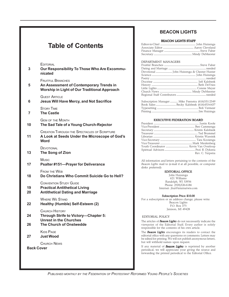### **Table of Contents**

**EDITORIAL** 

**3 Our Responsibility To Those Who Are Excommunicated**

FRUITFUL BRANCHES

**5 An Assessment of Contemporary Trends in Worship in Light of Our Traditional Approach**

GUEST ARTICLE

**6 Jesus Will Have Mercy, and Not Sacrifice**

STORY TIME

**7 The Castle**

GEM OF THE MONTH

**10 The Sad Tale of a Young Church-Rejector**

CREATION THROUGH THE SPECTACLES OF SCRIPTURE

**11 A Look at Seeds Under the Microscope of God's Word**

**DEVOTIONAL** 

**13 The Song of Zion**

Music

**17 Psalter #151—Prayer for Deliverance**

FROM THE WEB

**18 Do Christians Who Commit Suicide Go to Hell?**

CONVENTION STUDY GUIDE

- **19 Practical Antithetical Living**
- **20 Antithetical Dating and Marriage**

WHERE WE STAND

**22 Healthy (Humble) Self-Esteem (2)**

CHURCH HISTORY

- **24 Through Strife to Victory—Chapter 5: Unrest in the Churches**
- **26 The Church of Onstwedde**

KIDS PAGE

**27 Just Wood**

CHURCH NEWS

**Back Cover**

#### **BEACON LIGHTS**

#### BEACON LIGHTS STAFF

#### DEPARTMENT MANAGERS

| Subscription Manager  Mike Feenstra (616)531-2349 |  |
|---------------------------------------------------|--|
|                                                   |  |
|                                                   |  |
|                                                   |  |

#### EXECUTIVE FEDERATION BOARD

| Rev. C. Terpstra |
|------------------|

All information and letters pertaining to the contents of the *Beacon Lights* mail to (e-mail if at all possible, or computer disks preferred):

#### EDITORIAL OFFICE

John Huizenga 621 Williams Randolph, WI 53956 Phone: (920)326-6186 Internet: jhui@internetwis.com

#### Subscription Price: \$10.00

For a subscription or an address change, please write: Beacon Lights P.O. Box 375 Jenison, MI 49428

#### EDITORIAL POLICY

The articles of *Beacon Lights* do not necessarily indicate the viewpoint of the Editorial Staff. Every author is solely responsible for the contents of his own article.

The *Beacon Lights* encourages its readers to contact the editorial office with any questions or comments. Letters may be edited for printing. We will not publish anonymous letters, but will withhold names upon request.

If any material of *Beacon Lights* is reprinted by another periodical, we will appreciate your giving the source and forwarding the printed periodical to the Editorial Office.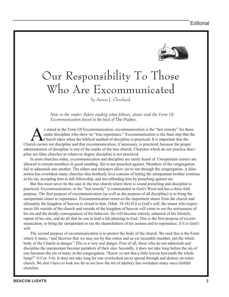

# Our Responsibility To Those Who Are Excommunicated

by Aaron J. Cleveland

*Note to the reader: Before reading what follows, please read the Form Of Excommunication found in the back of* The Psalter*.*

s stated in the Form Of Excommunication, excommunication is the "last remedy" for those<br>under discipline who show no "true repentance." Excommunication is the final step that the<br>charge out discipline and that excommunicat under discipline who show no "true repentance." Excommunication is the final step that the Church takes when the biblical method of discipline is practiced. It is important that the Church carries out discipline and that excommunication, if necessary, is practiced, because the proper administration of discipline is one of the marks of the true church. Churches which do not practice discipline are false churches to whatever degree discipline is not practiced.

In most churches today, excommunication and discipline are rarely heard of. Unrepentant sinners are allowed to remain members in good standing. Sin is not preached against. Members of the congregation fail to admonish one another. The elders and ministers allow sin to run through the congregation. A false notion has overtaken many churches that brotherly love consists of letting the unrepentant brother continue in his sin, accepting him in full fellowship, and not offending him by preaching against sin.

But this must never be the case in the true church where there is sound preaching and discipline is practiced. Excommunication, or the "last remedy" is commanded in God's Word and has a three-fold purpose. The first purpose of excommunication (as well as the purpose of all discipline) is to bring the unrepentant sinner to repentance. Excommunication removes the impenitent sinner from the church and ultimately the kingdom of heaven is closed to him. (Matt. 18:18) If it is God's will, the sinner who experiences life outside of the church and outside of the kingdom of heaven will come to see the seriousness of his sin and the deadly consequences of his behavior. He will become entirely ashamed of his lifestyle, repent of his sins, and do all that he can to lead a life pleasing to God. This is the first purpose of excommunication, to bring the unrepentant to see the shamefulness of his actions and to repentance, if it is God's will.

The second purpose of excommunication is to protect the body of the church. We read this is the Form where it states, "and likewise that we may not by this rotten and as yet incurable member, put the whole body of the Church in danger." This is a very real danger. First of all, those who do not admonish and discipline the unrepentant become partakers of their sins. Secondly, it does not take long before the sin of one becomes the sin of many in the congregation. "Know ye not that a little leaven leaveneth the whole lump?" (I Cor. 5:6). It does not take long for one overlooked sin to spread through and destroy an entire church. We don't have to look too far to see how the sin of adultery has overtaken many once-faithful churches.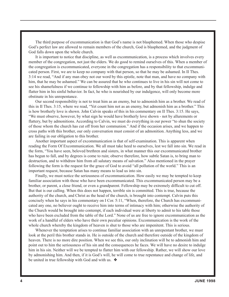The third purpose of excommunication is that God's name is not blasphemed. When those who despise God's perfect law are allowed to remain members of the church, God is blasphemed, and the judgment of God falls down upon the whole church.

It is important to notice that discipline, as well as excommunication, is a process which involves every member of the congregation, not just the elders. We do good to remind ourselves of this. When a member of the congregation is excommunicated, everyone in the congregation has a responsibility to that excommunicated person. First, we are to keep no company with that person, so that he may be ashamed. In II Thes. 3:14 we read, "And if any man obey not our word by this epistle, note that man, and have no company with him, that he may be ashamed." We can be assured that he who continues to live in his sin will not come to see his shamefulness if we continue to fellowship with him as before, and by that fellowship, indulge and flatter him in his sinful behavior. In fact, he who is nourished by our indulgence, will only become more obstinate in his unrepentance.

Our second responsibility is not to treat him as an enemy, but to admonish him as a brother. We read of this in II Thes. 3:15, where we read, "Yet count him not as an enemy, but admonish him as a brother." This is how brotherly love is shown. John Calvin speaks of this in his commentary on II Thes. 3:15. He says, "We must observe, however, by what sign he would have brotherly love shown - not by allurements or flattery, but by admonitions. According to Calvin, we must do everything in our power "to shun the society of those whom the church has cut off from her communion." And if the occasion arises, and we happen to cross paths with this brother, our only conversation must consist of an admonition. Anything less, and we are failing in our obligation to this brother.

Another important aspect of excommunication is that of self-examination. This is apparent when reading the Form Of Excommunication. We all must take heed to ourselves, lest we fall into sin. We read in the form, "You have seen, beloved brethren and sisters, in what manner this our excommunicated brother has begun to fall, and by degrees is come to ruin; observe therefore, how subtle Satan is, to bring man to destruction, and to withdraw him from all salutary means of salvation." Also mentioned in the prayer following the form is the request for the grace of God to avoid "all pollution of the world." This is an important request, because Satan has many means to lead us into sin.

Finally, we must notice the seriousness of excommunication. How easily we may be tempted to keep familiar association with those who have been excommunicated. This excommunicated person may be a brother, or parent, a close friend, or even a grandparent. Fellowship may be extremely difficult to cut off. But that is our calling. When this does not happen, terrible sin is committed. This is true, because the authority of the church, and Christ as the head of the church, is brought into contempt. Calvin puts this concisely when he says in his commentary on I Cor. 5:11, "When, therefore, the Church has excommunicated any one, no believer ought to receive him into terms of intimacy with him; otherwise the authority of the Church would be brought into contempt, if each individual were at liberty to admit to his table those who have been excluded from the table of the Lord." None of us are free to ignore excommunication as the work of a handful of elders who have their own peculiar opinions. Excommunication is the work of the whole church whereby the kingdom of heaven is shut to those who are impenitent. This is serious.

Whenever the temptation arises to continue familiar association with an unrepentant brother, we must look at the peril this brother stands in. He is outside of the church and therefore outside of the kingdom of heaven. There is no more dire position. When we see this, our only inclination will be to admonish him and point out to him the seriousness of his sin and the consequences he faces. We will have no desire to indulge him in his sin. Neither will we be tempted to flatter him with our fellowship. Rather, we will show our love by admonishing him. And then, if it is God's will, he will come to true repentance and change of life, and be united in true fellowship with God and with us. ❖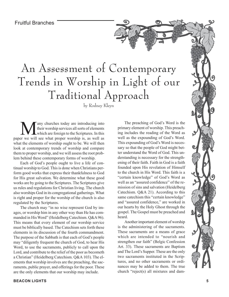Fruitful Branches

# An Assessment of Contemporary Trends in Worship in Light of our Traditional Approach

by Rodney Kleyn

any churches today are introducing into their worship services all sorts of elements which are foreign to the Scriptures. In this paper we will see what proper worship is, as well as what the elements of worship ought to be. We will then look at contemporary trends of worship and compare them to proper worship, and we will assess the root problem behind these contemporary forms of worship.

Each of God's people ought to live a life of continual worship to God. This is done when Christians perform good works that express their thankfulness to God for His great salvation. We determine what these good works are by going to the Scriptures. The Scriptures give us rules and regulations for Christian living. The church also worships God in its congregational gatherings. What is right and proper for the worship of the church is also regulated by the Scriptures.

The church may "in no wise represent God by images, or worship him in any other way than He has commanded in His Word" (Heidelberg Catechism. Q&A 96). This means that every element of our worship service must be biblically based. The Catechism sets forth these elements in its discussion of the fourth commandment. The purpose of the Sabbath is that each of God's people may "diligently frequent the church of God, to hear His Word, to use the sacraments, publicly to call upon the Lord, and contribute to the relief of the poor as becometh a Christian" (Heidelberg Catechism. Q&A 103). The elements that worship involves are the preaching, the sacraments, public prayer, and offerings for the poor. These are the only elements that our worship may include.

The preaching of God's Word is the primary element of worship. This preaching includes the reading of the Word as well as the expounding of God's Word. This expounding of God's Word is necessary so that the people of God might better understand the Word of God. This understanding is necessary for the strengthening of their faith. Faith in God is a faith founded upon His revelation of Himself to the church in His Word. This faith is a "certain knowledge" of God's Word as well as an "assured confidence" of the remission of sins and salvation (Heidelberg Catechism. Q&A 21). According to this same catechism this "certain knowledge" and "assured confidence," are worked in our hearts by the Holy Ghost through the gospel. The Gospel must be preached and heard.

Another important element of worship is the administering of the sacraments. These sacraments are a means of grace which are intended to "nourish and strengthen our faith" (Belgic Confession Art. 33). These sacraments are Baptism and The Lord's Supper. These are the only two sacraments instituted in the Scriptures, and no other sacraments or ordinances may be added to them. The true church "reject(s) all mixtures and dam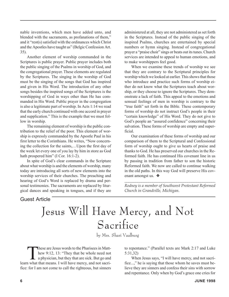nable inventions, which men have added unto, and blended with the sacraments, as profanations of them," and it "rest(s) satisfied with the ordinances which Christ and the Apostles have taught us" (Belgic Confession Art. 35).

Another element of worship commanded in the Scriptures is public prayer. Public prayer includes both the public singing of the Psalms in worship of God, and the congregational prayer. These elements are regulated by the Scriptures. The singing in the worship of God must be the singing of the songs that God has inspired and given in His Word. The introduction of any other songs besides the inspired songs of the Scriptures is the worshipping of God in ways other than He has commanded in His Word. Public prayer in the congregation is also a legitimate part of worship. In Acts 1:14 we read that the early church continued with one accord in prayer and supplication." This is the example that we must follow in worship.

The remaining element of worship is the public contribution to the relief of the poor. This element of worship is expressly commanded by the Apostle Paul in his first letter to the Corinthians. He writes, "Now concerning the collection for the saints,…Upon the first day of the week let every one of you lay by him in store as God hath prospered him" (I Cor. 16:1-2).

In spite of God's clear commands in the Scripture about what worship is and the elements of worship, many today are introducing all sorts of new elements into the worship services of their churches. The preaching and hearing of God's Word is replaced by drama and personal testimonies. The sacraments are replaced by liturgical dances and speaking in tongues, and if they are

administered at all, they are not administered as set forth in the Scriptures. Instead of the public singing of the inspired Psalms, churches are entertained by special numbers or hymn singing. Instead of congregational prayer a "praise choir" sings or beats out its tunes. Church services are intended to appeal to human emotions, and to make worshippers feel good.

When we examine these trends of worship we see that they are contrary to the Scriptural principles for worship which we looked at earlier. This shows that those who introduce and practice such forms of worship either do not know what the Scriptures teach about worship, or they choose to ignore the Scriptures. They demonstrate a lack of faith. This appeal to the emotions and sensual feelings of men in worship is contrary to the "true faith" set forth in the Bible. These contemporary forms of worship do not instruct God's people in their "certain knowledge" of His Word. They do not give to God's people an "assured confidence" concerning their salvation. These forms of worship are empty and superficial.

Our examination of these forms of worship and our comparison of them to the Scriptural and Confessional form of worship ought to give us hearts of praise and thanks to God. He has preserved our churches in the Reformed faith. He has continued His covenant line in us by passing in tradition from father to son the historic Reformed faith. We now are called to continue walking in the old paths. In this way God will preserve His covenant amongst us. ❖

*\_\_\_\_\_\_\_\_\_\_\_\_\_\_\_\_\_\_\_\_\_\_\_\_\_\_\_\_\_\_\_\_\_\_\_\_\_\_\_\_\_\_\_\_\_\_\_\_\_ Rodney is a member of Southwest Protestant Reformed Church in Grandville, Michigan.*

#### Guest Article

# Jesus Will Have Mercy, and Not Sacrifice

by Mrs. Shari Vaalburg

These are Jesus words to the Pharisees in Matthew 9:12, 13: "They that be whole need not a physician, but they that are sick. But go and hew 9:12, 13: "They that be whole need not a physician, but they that are sick. But go and learn what that means. I will have mercy, and not sacrifice: for I am not come to call the righteous, but sinners

to repentance." (Parallel texts are Mark 2:17 and Luke 5:31,32)

When Jesus says, "I will have mercy, and not sacrifice...," he is saying that those whom he saves must believe they are sinners and confess their sins with sorrow and repentance. Only when by God's grace one cries for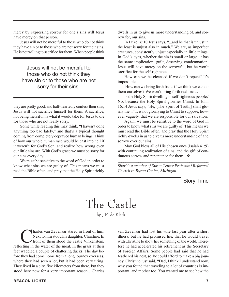mercy by expressing sorrow for one's sins will Jesus have mercy on that person.

Jesus will not be merciful to those who do not think they have sin or to those who are not sorry for their sins. He is not willing to sacrifice for them. When people think

Jesus will not be merciful to those who do not think they have sin or to those who are not sorry for their sins.

they are pretty good, and half-heartedly confess their sins, Jesus will not sacrifice himself for them. A sacrifice, not being merciful, is what it would take for Jesus to die for those who are not really sorry.

Some while reading this may think, "I haven't done anything too bad lately," and that's a typical thought coming from completely depraved human beings. Think of how our whole human race would be cast into hell if it weren't for God's Son, and realize how wrong even our little sins are. With God's grace we must be sorry for our sins every day.

We must be sensitive to the word of God in order to know what sins we are guilty of. This means we must read the Bible often, and pray that the Holy Spirit richly dwells in us to give us more understanding of, and sorrow for, our sins.

In Luke 16:10 Jesus says, "...and he that is unjust in the least is unjust also in much." We are, as imperfect creatures, consistently unjust especially in little things. In God's eyes, whether the sin is small or large, it has the same implication: guilt, deserving condemnation. Jesus will have mercy on the sorrowful, but he won't sacrifice for the self-righteous.

How can we be cleansed if we don't repent? It's impossible.

 How can we bring forth fruits if we think we can do them ourselves? We won't bring forth real fruits.

Is the Holy Spirit dwelling in self-righteous people? No, because the Holy Spirit glorifies Christ. In John 16:14 Jesus says, "He, [The Spirit of Truth,] shall glorify me..." It is not glorifying to Christ to suppose, however vaguely, that we are responsible for our salvation.

Again; we must be sensitive to the word of God in order to know what sins we are guilty of. This means we must read the Bible often, and pray that the Holy Spirit richly dwells in us to give us more understanding of and sorrow over our sins.

May God bless all of His chosen ones (Isaiah 41:9) with continuing realization of sins, and the gift of continuous sorrow and repentance for them. ❖

*\_\_\_\_\_\_\_\_\_\_\_\_\_\_\_\_\_\_\_\_\_\_\_\_\_\_\_\_\_\_\_\_\_\_\_\_\_\_\_\_\_\_\_\_\_\_\_\_ Shari is a member of Byron Center Protestant Reformed Church in Byron Center, Michigan.*

Story Time

The Castle

by J.P. de Klerk

**C**harles van Zevenaar stared in front of him.<br>Next to him stood his daughter, Christine. In<br>front of them stood the castle Vinkenstein, Next to him stood his daughter, Christine. In reflecting in the water of the moat. In the grass at their feet waddled a couple of chattering ducks. The day before they had come home from a long journey overseas, where they had seen a lot, but it had been very tiring. They lived in a city, five kilometers from there, but they stood here now for a very important reason…Charles

van Zevenaar had lost his wife last year after a short illness, but he had promised her, that he would travel with Christine to show her something of the world. Therefore he had accelerated his retirement as the Secretary of Foreign Affairs. Some people had said that he had feathered his nest, so, he could afford to make a big journey. Christine just said, "Dad, I think I understand now, why you found that traveling to a lot of countries is important, and mother too. You wanted me to see how the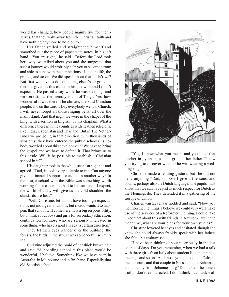world has changed, how people mainly live for themselves, that they walk away from the Christian faith and have nothing anymore to hold on to."

Her father smiled and straightened himself and smoothed out the piece of paper with notes, in his left hand. "You are right," he said. "Before the Lord took her away, we talked about you and she suggested that such a journey would probably help you to become strong and able to cope with the temptations of student life, the pranks, and so on. We did speak about that, didn't we? But first we have to do something else. Your grandfather has given us this castle in his last will, and I didn't expect it. He passed away while he was sleeping, and we were still at the friendly island of Tonga. Yes, how wonderful it was there. The climate, the kind Christian people, and on the Lord's Day everybody went to Church. I will never forget all those ringing bells, all over the main island. And that night we were in the chapel of the king, with a sermon in English, by his chaplain. What a difference there is in the countries with heathen religions, like India, Uzbekistan and Thailand. But in The Netherlands we are going in that direction, with thousands of Moslems; they have entered the public schools. Is nobody worried about this development? We have to bring the gospel and we have to defend it. That brings us to this castle. Will it be possible to establish a Christian school in it?"

His daughter took in the whole scene at a glance and agreed. "Dad, it looks very suitable to me. Can anyone give us financial support, or aid us in another way? In the past, a school with the Bible was something worth working for, a cause that had to be furthered. I expect, the world of today will give us the cold shoulder; the standards are lost."

"Well, Christine, let us not have too high expectations, not indulge in illusions, but if God wants it to happen, that school will come here. It is a big responsibility, but I think about boys and girls for secondary education, continuation for those who are seriously interested in something, who have a goal already, a certain direction."

They let their eyes wander over the building, the forests, the birds in the sky. It was so peaceful, so inviting.

Christine adjusted the braid of her thick brown hair and said, "A boarding school at this place would be wonderful, I believe. Something like we have seen in Australia, in Melbourne and in Brisbane. Especially that old Scottish school."



"Yes, I know what you mean, and you liked that teacher in gymnastics too," grinned her father. "I saw you trying to discover whether he was wearing a wedding ring."

Christine made a fending gesture, but she did not deny anything "Dad, suppose I give art lessons, and botany, perhaps also the Dutch language. The pupils must know that we can have just as much respect for Dutch as the Flemings do. They defended it in a gathering of the European Union."

Charles van Zevenaar nodded and said, "Now you mention the Flemings, I believe we could very well make use of the services of a Reformed Fleming. I could take up contact about this with friends in Antwerp. But in the meantime, what are your plans for your own studies?"

Christine lowered her eyes and hesitated, though she knew she could always frankly speak with her father; she felt a bit embarrassed.

"I have been thinking about it seriously in the last couple of days. Do you remember, when we had a talk with three girls from Italy about student life, the pranks, the rags, and so on? And those young people in Oslo, in the museum, and that couple in Nassau, at the Bahamas, and that boy from Johannesburg? Dad, to tell the honest truth, I don't feel attracted. I don't think I can tackle all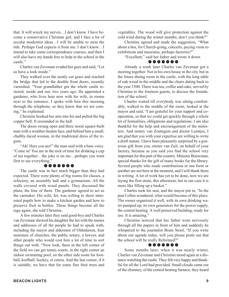that. It will wreck my nerves…I don't know. I have become a conservative Christian girl, and I face a lot of secular modernist ideas…I will be unable to stem the tide. Perhaps God expects it from me. I don't know…I intend to take some correspondence courses, and then I will also have my hands free to help in the school in the castle."

Charles van Zevenaar evaded her gaze and said, "Let us have a look inside."

They walked over the neatly cut grass and reached the bridge that led to the double front doors, recently varnished. "Your grandfather got the whole castle restored, inside and out, two years ago. He appointed a gardener, who lives here now with his wife, in rooms next to the entrance. I spoke with him this morning through the telephone, so they know that we are coming," he explained.

Christine hooked her arm into his and pulled the big copper bell. It resounded in the hall.

The doors swung open and there stood square-built man with a weather-beaten face, and behind him a small, chubby-faced woman, in the traditional dress of the region.

"Ah! Here you are!" the man said with a bass voice. "Come in! You are in the nick of time for drinking a cup of tea together…the joke is on me…perhaps you want first to see everything."

#### ❁ ❁ ❁ ❁ ❁ ❁ ❁

The castle was in fact much bigger than they had expected. There were plenty of big rooms for classes, a refectory, an assembly hall and a gymnasium. All the walls covered with wood panels. They discussed the plans, the four of them. The gardener agreed to act as the caretaker. His wife, Iet, was willing to show interested pupils how to make a kitchen garden and how to preserve fruit in bottles. Those things become all the rage again, she told Christine.

A few minutes later they said good-bye and Charles van Zevenaar showed his daughter the list with the names and addresses of all the people he had to speak with, including the mayor and aldermen of Oldedurem, four ministers of churches, the public notary, a lawyer, and other people who would cost him a lot of time to sort things out with. "Now look, there in the left corner of the field we can get tennis courts, in the right corner an indoor swimming pool, on the other side room for football, korfball, hockey, et cetera. And the last corner, if it is suitable, we have that for some fine fruit trees and

vegetables. The wood will give protection against the cold wind during the winter months, don't you think?"

Christine agreed and made the suggestion, "What about a bus, for Church-going, concerts, paying visits to exhibitions and museums, perhaps factories?"

"Excellent," said her father and wrote it down

#### ❁ ❁ ❁ ❁ ❁ ❁ ❁

Already a week later Charles van Zevenaar got a meeting together. Not in his own house in the city, but in the future dining room in the castle, with the long table of oak wood in the middle and the chairs dating back to the year 1500. There was tea, coffee and cake, served by Christine to the fourteen guests, to discuss the foundation of the school.

Charles waited till everybody was sitting comfortably, walked to the middle of the room, looked at the mayor and said, "I am grateful for your support and cooperation, so that we could get quickly through a whole lot of formalities, obligations and regulations. I am also thankful for the help and encouragement of the ministers. And notary van Zoutegem and doctor Luintjes, I am glad that you with your expertise are willing to write a draft statute. I have been pleasantly surprised by a generous gift from you, mister van Zuil, on behalf of your factory, because as you said you find the school very important for this part of the country. Minister Bouwman, special thanks for the gift of many books for the library. Several people who made contributions in one form or another are not here at the moment, and I will thank them in writing. A lot of work has yet to be done, now we are laying the first stone, this afternoon; but in our case it is more like filling up a basket."

Charles took his seat, and the mayor put in, "In the past I often wondered, what would become of this place. The owner organized it well, with its own drinking water pumped up, its own generators for the power supply, the central heating. A well preserved building, ready for use. It is amazing."

Christine noticed that her father went nervously through all the papers in front of him and suddenly he whispered to the journalist Bram Stoof, "If you write about our agenda today, will you please point out that the school will be really Reformed?"

#### ❁ ❁ ❁ ❁ ❁ ❁ ❁

Some months later, when it was nearly winter, Charles van Zevenaar and Christine stood again at a distance watching the castle. They felt very happy and thankful for all the Lord had provided. Small clouds came out of the chimney, of the central heating furnace, they heard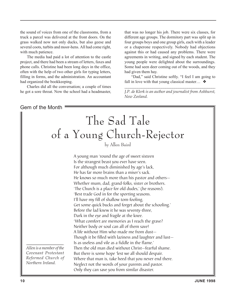the sound of voices from one of the classrooms, from a truck a parcel was delivered at the front doors. On the grass walked now not only ducks, but also geese and several coots, turbits and moor-hens. All had come right, with much patience.

The media had paid a lot of attention to the castle project, and there had been a stream of letters, faxes and phone calls. Christine had been long days in the office, often with the help of two other girls for typing letters, filling in forms, and the administration. An accountant had organized the bookkeeping.

Charles did all the conversation; a couple of times he got a sore throat. Now the school had a headmaster,

that was no longer his job. There were six classes, for different age groups. The dormitory part was split up in four groups boys and one group girls, each with a leader or a chaperone respectively. Nobody had objections against this or had caused any problems. There were agreements in writing, and signed by each student. The young people were delighted about the surroundings. Some had seen deer coming out of the woods, and they had given them hay.

"Dad," said Christine softly. "I feel I am going to fall in love with that young classical master...  $\triangleleft$ 

*\_\_\_\_\_\_\_\_\_\_\_\_\_\_\_\_\_\_\_\_\_\_\_\_\_\_\_\_\_\_\_\_\_\_\_\_\_\_\_\_\_\_\_\_\_\_\_\_\_ J.P. de Klerk is an author and journalist from Ashhurst, New Zeeland.*

Gem of the Month

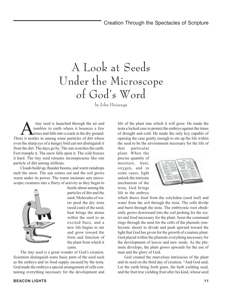### A Look at Seeds Under the Microscope of God's Word

by John Huizenga

tiny seed is launched through the air and tumbles to earth where it bounces a few times and falls into a crack in the dry ground. There it nestles in among some particles of dirt where even the sharp eye of a hungry bird can not distinguish it from the dirt. The days go by. The sun scorches the earth. Feet trample it. The snow falls upon it. The cold freezes it hard. The tiny seed remains inconspicuous like one particle of dirt among millions.

Clouds build up, thunder booms, and warm raindrops melt the snow. The sun comes out and the soil grows warm under its power. The warm moisture sets microscopic creatures into a flurry of activity as they begin to



bustle about among the particles of dirt and the seed. Molecules of water prod the dry testa (seed coat) of the seed; heat brings the atoms within the seed to an excited buzz, and a new life begins to stir and grow toward the form and function of the plant from which it came.

The tiny seed is a great wonder of God's creation. Scientists distinguish some basic parts of the seed such as the embryo and its food supply encased by the testa. God made the embryo a special arrangement of cells containing everything necessary for the development and

life of the plant into which it will grow. He made the testa a locked case to protect the embryo against the times of drought and cold. He made the only key capable of opening the case gently enough to stir up the life within the seed to be the environment necessary for the life of

that particular plant. When the precise quantity of moisture, heat, oxygen, and in some cases, light unlock the intricate mechanism of the testa, God brings life to the embryo



which draws food from the cotyledon (seed leaf) and water from the soil through the testa. The cells divide and burst through the testa. The embryonic root obediently grows downward into the soil probing for the water and food necessary for the plant. Soon the command rings through the seed for the cells of the plumule (embryonic shoot) to divide and push upward toward the light that God has given for the growth of a mature plant. God placed within the plumule everything necessary for the development of leaves and new seeds. As the plumule develops, the plant grows upwards for the use of man and the glory of God.

God created the marvelous intricacies of the plant and its seed on the third day of creation. "And God said, Let the earth bring forth grass, the herb yielding seed, and the fruit tree yielding fruit after his kind, whose seed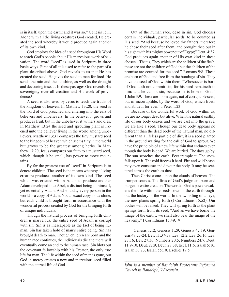is in itself, upon the earth: and it was so." Genesis 1:11. Along with all the living creatures God created, He created the seed whereby it would produce again another of its own kind.

God employs the idea of a seed throughout His Word to teach God's people about His marvelous work of salvation. The word "seed" is used in Scripture in three basic ways. First of all it is used to refer to the part of a plant described above. God reveals to us that He has created the seed. He gives the seed to man for food. He sends the rain and the sunshine, as well as the drought and devouring insects. In these passages God reveals His sovereignty over all creation and His work of providence.<sup>1</sup>

A seed is also used by Jesus to teach the truths of the kingdom of heaven. In Matthew 13:20, the seed is the word of God preached and entering into the ears of believers and unbelievers. In the believer it grows and produces fruit, but in the unbeliever it withers and dies. In Matthew 13:24 the seed and sprouting plant is likened unto the believer living in the world among unbelievers. Matthew 13:31 compares the tiny mustard seed to the kingdom of heaven which seems tiny in the world but grows to be the greatest among herbs. In Matthew 17:20, Jesus compares our faith to a mustard seed, which, though it be small, has power to move mountains.

By far the greatest use of "seed" in Scripture is to denote children. The seed is the means whereby a living creature produces another of its own kind. The seed which was created within Adam to produce another Adam developed into Abel, a distinct being in himself, yet essentially Adam. And so today every person in the world is a copy of Adam. Not an exact copy, not a clone, but each child is brought forth in accordance with the wonderful process created by God for the bringing forth of unique individuals.

Though the natural process of bringing forth children is marvelous, the entire seed of Adam is corrupt with sin. Sin is as inescapable as the fact of being human. Sin has taken hold of man's entire being. Sin has brought death to man. Though children are born and the human race continues, the individuals die and there will eventually come an end to the human race. Sin blots out the covenant fellowship with his Creator, the only true life for man. The life within the seed of man is gone, but God in mercy creates a new and marvelous seed filled with the eternal life of God.

Out of the human race, dead in sin, God chooses certain individuals, particular seeds, to be counted as His seed. "And because he loved thy fathers, therefore he chose their seed after them, and brought thee out in his sight with his mighty power out of Egypt;" Deut. 4:37. God produces again another of His own kind in these chosen. "That is, They which are the children of the flesh, these are not the children of God: but the children of the promise are counted for the seed." Romans 9:8. These are born of God and free from the bondage of sin. They have the seed of God within them. "Whosoever is born of God doth not commit sin; for his seed remaineth in him: and he cannot sin, because he is born of God." 1 John 3:9. These are "born again, not of corruptible seed, but of incorruptible, by the word of God, which liveth and abideth for ever." I Peter 1:23.

Because of the wonderful work of God within us, we are no longer dead but alive. When the natural earthly life of our body ceases and we are cast into the grave, we are like a seed. Though our dead body appears no different than the dead body of the natural man, no different than a lifeless particle of dirt, it is a seed planted in the ground waiting for the call of God to sprout. We have the principle of a new life within that endures even though the body is dead. We are buried. The days go by. The sun scorches the earth. Feet trample it. The snow falls upon it. The cold freezes it hard. Fire and wild beasts may even consume and devour the body. It may be scattered across the earth as dust.

Then Christ comes upon the clouds of heaven. The trumpet sounds. The fires of God's judgment burn and purge the entire creation. The word of God's power awakens the life within the seeds sown in the earth throughout the history of the world. In the twinkling of an eye, the new plants spring forth (I Corinthians 15:52). Our bodies will be raised. They will spring forth as the plant springs forth from its seed, "And as we have borne the image of the earthy, we shall also bear the image of the heavenly." I Corinthians 15:49. ❖

1 Genesis 1:12, Genesis 1:29, Genesis 47:19, Genesis 47:23-24, Lev. 11:37-38, Lev. 12:2, Lev. 26:16, Lev. 27:16, Lev. 27:30, Numbers 20:5, Numbers 24:7, Deut. 11:9-10, Deut. 22:9, Deut. 28:38, Eccl. 11:6, Isaiah 5:10, Isaiah 30:23, Isaiah 55:10, Ezekiel 17:5

*\_\_\_\_\_\_\_\_\_\_\_\_\_\_\_\_\_\_\_\_\_\_\_\_\_\_\_\_\_\_\_\_\_\_\_\_\_\_\_\_\_\_\_\_\_\_\_\_ John is a member of Randolph Protestant Reformed Church in Randolph, Wisconsin.*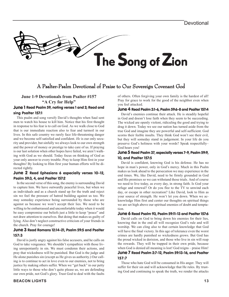

### A Psalter-Psalm Devotional of Praise to Our Sovereign Covenant God

### **June 1-9 Devotionals from Psalter #157**

**"A Cry for Help"**

#### June 1 Read Psalm 59, noting verses 1 and 2; Read and sing Psalter 157:1

This psalm and song versify David's thoughts when Saul sent men to watch his house to kill him. Notice that his first thought in response to his fear is to call on God. As we walk close to God that is our immediate reaction also to fear and turmoil in our lives. In this safe country we rarely face life-threatening danger and we become self-satisfied and confident. *He* is our only security and provider, but sinfully we always look to our own strength and the power of money or prestige to take care of us. If praying is our last solution when other hopes have failed, we aren't walking with God as we should. Today focus on thinking of God as your only answer to every trouble. Pray to keep Him first in your thoughts! By looking to Him first your human efforts will be directed rightly.

#### June 2 Read Ephesians 6 especially verses 10–12, Psalm 59:3, 4, and Psalter 157:2

In the second verse of this song, the enemy is surrounding David to capture him. We have outwardly peaceful lives, but when we as individuals and as a church stand up for the truth and reject sin we feel the pressure of hatred building against us too. We may someday experience being surrounded by those who are against us because we won't accept their lies. We need to be willing to be embarrassed and uncomfortable today when it would be easy compromise our beliefs just a little to keep "peace" and not draw attention to ourselves. But doing that makes us guilty of lying. Also don't neglect constructive criticism of your friends in the church. Pray for courage!

#### June 3 Read Romans 12:14-21, Psalm 59:5 and Psalter 157:3

David is justly angry against his false accusers, and he calls on God to take vengeance. We shouldn't sympathize with those living unrepentantly in sin. We must condemn their actions, and pray that wickedness will be punished. But God is the judge and He alone punishes sin (except as He gives us authority.) Our calling is to continue to act in love even to our enemies, not to bring justice by making others suffer. When we "get back" in our petty little ways to those who don't quite please us, we are defending our own pride, not God's glory. Trust God to deal with the faults

of others. Often forgiving your own family is the hardest of all! Pray for grace to work for the good of the neighbor even when you feel attacked.

#### June 4 Read Psalm 2:1-6, Psalm 59:6-8 and Psalter 157:4

David's enemies continue their attack. He is steadily hopeful in God and doesn't lose faith when they seem to be succeeding. The wicked are openly violent, ridiculing the good and trying to drag it down. Today we see our nation has turned aside from the true God and imagine they are powerful and self-sufficient. God scorns their feeble insults. They think God won't see their evil, but they will someday stand in judgement. In your life do you preserve God's holiness with your words? Speak respectfully– God hears you!

#### June 5 Read Psalm 37, especially verses 7-9, Psalm 59:9, 10, and Psalter 157:5

David is confident, knowing God is his defense. He has no hope in man's power, only in God's mercy. Much in this Psalm makes us look ahead to the persecution we may experience in the end times. We, like David, need to be firmly grounded in God and His promises so we can withstand those trials. And of course we need to live today, as every day, in strong faith. Is God your refuge and renewal? Or do you flee to the TV to unwind each day, or escape in other recreation? Like David, look to Him as your source of strength. He won't let you down. When we acknowledge Him first and center our thoughts on spiritual things we are set high above our spiritual enemies of doubt and temptation.

#### June 6 Read Psalm 93, Psalm 59:11-13 and Psalter 157:6

David calls on God to bring down his enemies for their lies, knowing that in the end all will recognize God's rule and will worship. We can cling also to that certain knowledge that God will have the final victory. In this age of tolerance even the worst crimes are hardly punished so wickedness grows. But God has the proud wicked in derision, and those who live in sin will reap the rewards. They will be trapped in their own pride, because when God is denied all meaning is lost! God reigns – praise Him! June 7 Read Psalm 2:7-12, Psalm 59:13-16, and Psalter

### 157:7

Those who hate God will be consumed in His anger. They will suffer for their sin and will acknowledge that He rules. By trusting God and continuing to speak the truth, we render the attacks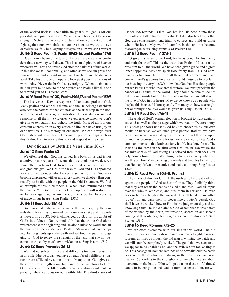of the wicked useless. Their ultimate goal is to "get us off our pedestal" and join them in sin. We are strong because God is our strength. Notice this is also a picture of our constant spiritual fight against our own sinful nature. As soon as we try to save ourselves we fall, but keeping our eyes on Him we can't waver!

#### June 8 Read Psalm 3, Psalm 59:13-16, and Psalter 157:8

David looks beyond the turmoil before his eyes and is confident that a new day will dawn. This is a small picture of heaven where we will rest and praise God after the darkness of this world. In this life we fail continually, and often as we see sin grow and flourish in us and around us we can lose faith and be discouraged. Take his attitude of hope and look past your frustrations of work today! Never doubt God's sovereignty! When doubts take hold in your mind look to the Scriptures and Psalms like this one to remind you of His eternal care.

#### June 9 Read Psalm 100, Psalm 59:16,17, and Psalter 157:9

The last verse is David's response of thanks and praise to God. Many psalms end with this theme, and the Heidelberg catechism also sets the pattern of thankfulness as the final step in the lifelong process of realizing our salvation. This is also our natural response to all the little victories we experience when we don't give in to temptation and uphold the truth. Most of all it is our constant expression in every action of life. We have true joy in our salvation, God's victory in our heart. We can always trust God's steadfast love. A chief means of praise is songs such as this Psalm. Pray to realize this joy and respond with praise.

#### **Devotionals by Beth De Vries June 10-17** June 10 Read Psalm 60

We often feel that God has turned His back on us and is not attentive to our requests. It seems that we think that we deserve some attention from God. In reality all that we receive is a free and gracious gift. We turn our backs to God and His appointed way and then wonder why He seems so far from us. God may become displeased with us and angry when we disobey Him continually as he did with the people in the Old Testament. We find an example of this in Numbers 11 when Israel murmured about the manna. Yet, God truly loves His people and will restore the to His favor again, not by any merit of theirs, but by His working of grace in our hearts. Sing Psalter 158:1.

#### June 11 Read Job 38:1-15

God has created the heavens and earth in all its glory. He controls them for at His command the mountains shake and the earth is moved. In Job 38, Job is challenged by God for his doubt of God's faithfulness. God reminds Job that the triune God alone was present at the beginning and He alone rules the world and all therein. In the second stanza of Psalter 158 we read of God bringing His judgments upon the earth and we find the psalmist begging for God to renew the strength of the land that she not become destroyed by man's own wickedness. Sing Psalm 158:2.

#### June 12 Read Proverbs 3:1-12

We find ourselves in trials and difficult situations frequently in this life. Maybe today you have already faced a difficult situation or are afflicted by some ailment. Many times God gives us these trials to strengthen our faith and to lead us closer to Him. Our lives seem to be filled with despair and disappointment especially when we focus on our earthly life. The third stanza of Psalter 158 reminds us that God has led His people into these difficult and bitter times. Proverbs 3:11-12 also teaches us that God uses chastisement and trials to correct and build up those whom He loves. May we find comfort in this and not become discouraged as we sing stanza 3 of Psalter 158.

#### June 13 Read Psalm 107:1-8

"O give thanks unto the Lord, for he is good: for his mercy endureth for ever." This is the truth that Psalm 107 calls us to proclaim to all the world. We have been given grace and a great inner happiness. May this spirit flow freely from us. God commands us to show His truth to all those that we meet and have contact. God's gracious love for us should cause us to proclaim our blessing to everyone. We know that God has His elect people but we know not who they are; therefore, we must proclaim the banner of His truth to the world. They should be able to see not only by our words but also by our actions that we are filled with the love of God in our hearts. May we be known as a people who display this banner. Make a special effort today to show to a neighbor or stranger the love God has given us. Sing Psalter 158:4.

#### June 14 Read Deut. 7:6-11

The truth of God's eternal election is brought to light again in stanza 5 as well as the passage which we read in Deuteronomy. This passage shows us that God has not chosen us by our own merits or because we are such great people. Rather we have been chosen and preserved by Him because He set His love upon us and has promised to care for us. We are called to keep God's commandments in thankfulness for what He has done for us. The theme is the same in the fifth stanza of Psalter 158 where the psalmist speaks of God saving His beloved from their foes. Our help comes from the Lord's almighty hand especially when we ask this of Him. May we bring our needs and troubles to the Lord that He may defeat our enemies and make us strong. Sing Psalter 158:5.

#### June 15 Read Psalm 60:6-8, Psalm 2

The rulers of this world think themselves to be great and plot against the people of God to harm Christ. They foolishly think that they can break the bands of God's anointed. God triumphs over the wicked with ease, and puts them in derision. He even goes so far as to laugh at the wicked. He shall break them with a rod of iron and dash them in pieces like a potter's vessel. God shall have the wicked bow to Him in the judgement day and acknowledge that He is God alone. God accomplishes this defeat of the wicked by the death, resurrection, ascension and second coming of His only begotten Son, as is seen in Psalm 2:5-7. Sing Psalter 158:6.

#### June 16 Read Romans 7:12-25

We are often overcome with our sins in this world. The old man of sin wars in our flesh with our new man of righteousness. It seems at times as though the old man is winning the battle and we will soon be completely wicked. The good that we seek to do we appear to be unable to do, and the evil, we are too willing to do. This passage in Romans reminds us of how difficult the battle is even for those who seem strong in their faith as Paul was. Psalter 158:7 refers to the strongholds of sin when we are about overcome in the battle. Who will guide us in these sinful times? God will be our guide and lead us from our tents of sin. He will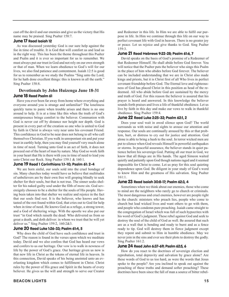cast off the devil and our enemies and give us the victory that His name may be praised. Sing Psalter 158:7.

#### June 17 Read Isaiah 12

As was discussed yesterday God is our sure help against the foe in time of trouble. It is God that will comfort us and lead us in the right way. This has been the theme throughout this Psalter and Psalm and it is ever so important for us to remember. We must always put our trust in God and not rely on our own strength or that of man. When we learn obedience to God's will for our lives, we also find patience and contentment. Isaiah 12:5 is good for us to remember as we study the Psalms "Sing unto the Lord; for he hath done excellent things: this is known in all the earth." Sing Psalter 158:8.

#### **Devotionals by John Huizenga June 18-31** June 18 Read Psalm 61

Have you ever been far away from home where everything and everyone around you is strange and unfamiliar? The loneliness quickly turns to panic when trouble arises and there is no one around to help. It is at a time like this when the truth of God's omnipresence brings comfort to the believer. Communion with God is never cut off by distance nor height nor depth. God is present in every part of the creation so one who is united to God by faith in Christ is always very near unto his covenant Friend. This confidence in God to be near does not belong to all who call themselves Christian. If you walk in unrepentant sin and put your trust in earthly help, then you may find yourself very much alone in time of need. Turning unto God is an act of faith, it does not proceed out of the heart of man by nature. May God so work faith in your heart that He is there with you in time of need to lead you unto Christ our Rock. Sing Psalter 159:1 & 160:1.

#### June 19 Read 1 Corinthians 1:1-10; Psalm 61: 2-4

We are born sinful, our souls sold into the cruel bondage of sin. Many churches today would have us believe that multitudes of unbelievers are by their own free will groping blindly to seek shelter for their souls, but that is not true. The sinner seeks shelter for his naked guilty soul under the filth of more sin. God sovereignly chooses to be a shelter for the souls of His people. Having been taken into that shelter we realize and rejoice in the fact that our souls find rest. It is the believer, who knows and has tasted of the rest found within God, that cries out to God for help when in time of need. He knows God as a refuge, a strong tower, and a God of sheltering wings. With the apostle we also put our trust "in God which raiseth the dead: Who delivered us from so great a death, and doth deliver: in whom we trust that he will yet deliver us." Sing Psalter 159:2, 160:2&3.

#### June 20 Read Luke 1:26-33; Psalm 61:4, 5

Why does the child of God have such confidence and trust in God? The reason is found in the verses upon which we meditate today. David and we also confess that God has heard our vows and confers to us our heritage. Our vow is to walk in newness of life by the power of God's grace. Our heritage given us now is that new life in Christ as the tokens of eternal life in heaven. In this connection, David speaks of his being anointed unto an everlasting kingdom which comes to fulfillment in Christ. Christ rules by the power of His grace and Spirit in the hearts of every believer. He gives us the will and strength to serve our Creator

**BEACON LIGHTS 15**

and Redeemer in this life. In Him we are able to fulfil our purpose in life. In Him we continue through this life on our way to perfect covenant life with God in heaven. There is no greater joy or peace. Let us rejoice and give thanks to God. Sing Psalter 159:3.

#### June 21 Read Hebrews 9:22-28; Psalm 61:6, 7

David speaks on the basis of God's promise of a Redeemer of that Redeemer Himself. He shall abide before God forever. You will notice that the Psalter puts the believer who sings this Psalm in the place of him who abides before God forever. The believer can be included understanding that we are in Christ also made kings and priests, but it is Christ first of all Who lives in perfect covenant friendship before God. The Eternal love and righteousness of God has placed Christ in this position as head of the redeemed. All who abide before God are sustained by the mercy and truth of God. For this reason the believer is assured that his prayer is heard and answered. In this knowledge the believer sounds forth praises and lives a life of thankful obedience. Let us live by faith in this day and make our vows to walk in thankful obedience. Sing Psalter 159:4.

#### June 22 Read Luke 2:25-32; Psalm 62:1, 2

Does your soul wait in awed silence upon God? The world surrounds us with noise and sights to arouse our attention and response. Our souls are continually aroused by this or that problem, hurt, or distress to cry out for justice and attention. God alone is able to bring a hush to the soul. In terror wicked men are put to silence when God reveals Himself in powerful earthquakes or storms. In peaceful assurance, the believer stands in quiet patience before his sovereign God. Putting all our trust in God, we know that all things are in His hands. The aged Simeon waited quietly and patiently upon God though nations raged and it seemed impossible for Christ to come. Let us pray for this soul quieting dependence upon God. Be diligent in your study of God's word to know Him and the greatness of His salvation. Sing Psalter 161:1.

#### June 23 Read Isaiah 30:8-17; Psalm 62:3, 4

Sometimes when we think about our enemies, those who come to mind are the neighbors who rarely go to church or criminals. The most dangerous and cruel enemies, however are people right in the church: ministers who preach lies, people who come to church but lead wicked lives and want others to go with them, and people who condemn pure preaching. Isaiah came straight to the congregation of Israel which was full of such hypocrites with his word of God's judgment. These rebel against God and seek to destroy the soul of the child of God as well. Be assured that such are as a wall that is bending and ready to burst and as a fence ready to tip. God will destroy them in fierce judgment except they repent and submit to Him in humble obedience. May we never join in the sins and ever see their plots to destroy the godly. Sing Psalter 161:2.

#### June 24 Read John 6:37-69; Psalm 62:5, 6

How do you react to the doctrines of sovereign election and reprobation, total depravity and salvation by grace alone? Are these words of God to us too hard, as were the words that Jesus spoke to the people? Are you inclined to speak out against the preaching of these truths and demand softer preaching? These doctrines have been since the fall of man a source of bitter rebel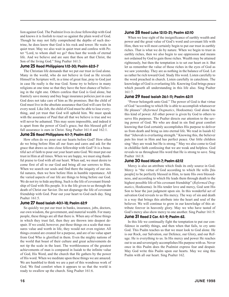lion against God. The Psalmist lives in close fellowship with God and knows it is foolish to react so against the plain word of God. Though he may not fully comprehend the depths of such doctrine, he does know that God is his rock and tower. He waits in quiet trust. May we also wait in quiet trust and confess with Peter "Lord, to whom shall we go? thou hast the words of eternal life. And we believe and are sure that thou art that Christ, the Son of the living God." Sing Psalter 161:3.

#### June 25 Read Philippians 1:12-30; Psalm 62:5-7

The Christian life demands that we put our trust in God alone. Many in the world, who do not believe in God as He reveals Himself in Scripture will, in a time of great fear, pray to God just in case He really is the true God. Some try to believe in many religions at one time so that they have the best chance of believing in the right one. Others confess that God is God alone, but franticly save money and buy huge insurance policies just in case God does not take care of him as He promises. But the child of God must live in the absolute assurance that God will care for his every need. Like Job, the child of God must be able to lose everything, and yet trust that God will uphold him. We must speak with the assurance of Paul that all that we believe is true and we will never be ashamed. This may seem impossible, and indeed it is apart from the power of God's grace, but this blessed gift of full assurance is ours in Christ. Sing Psalter 161:4 and 162:1.

#### June 26 Read Philippians 4:1-7; Psalm 62:8

How often do we pour out our hearts before God? How often do we bring before Him all our fears and cares and ask for the grace that draws us into close fellowship with God? It is a beautiful act of faith to pour out your heart unto God. We must put our trust in Him at all times. When we are happy, we must sing thankful praise to God with all our heart. When sad, we must desire to come first of all to our God and bring all our sorrows to Him. When we search our souls and find there the iniquity of our sinful natures, then we bow before Him in humble repentance. All the varied aspects of our life are things to bring before our God. We do not try to hide anything. Such is the life of covenant friendship of God with His people. It is the life given to us through the death of Christ our Savior. Do not disparage the life of covenant friendship with God. Pour out your heart to God each day. Sing Psalter 161:5.

#### June 27 Read Isaiah 40:1-18; Psalm 62:9

So quickly we put our trust in banks, insurance, jobs, doctors, our own wisdom, the government, and material wealth. For many people, these things are all that there is. When any of these things in which they trust fail, then they are thrown into deepest despair. If we could, however, put these things on a scale that measures value and worth in life, they would not even register. All things created are created for a purpose, and are of no value apart from God Who is glorified in them. Even the mighty nations of the world that boast of their culture and great achievements do not tip the scale in the least. The worthlessness of the greatest achievements of man is compared in Isaiah to the infinite value of God, His Word, and the church that He gathers by the power of His word. When we meditate upon these things we are amazed. We are humbled to think we are a part of this wondrous work of God. We find comfort when it appears to us that the world is ready to swallow up the church. Sing Psalter 161:6.

#### June 28 Read Luke 12:13-21; Psalm 62:10

When we lose sight of the insignificance of earthly wealth and power and the great value of God's word and covenant life with Him, then we will most certainly begin to put our trust in earthly riches. That is what we do by nature. When we begin to trust in earthly riches, then we also begin to use oppression and means not ordained by God to gain those riches. Wealth may be attained righteously, but then the temptation is to set our heart on it. But let us remember the value of those riches in the eyes of God as we saw yesterday. They are as nothing in the balance of God. Let us rather be rich toward God. Study His word. Listen carefully to the word preached in church. Listen carefully in catechism. The knowledge of God is everlasting life. Knowing God brings peace which passeth all understanding in this life also. Sing Psalter 161:7.

#### June 29 Read Isaiah 26:1-11; Psalm 62:11

"Power belongeth unto God." The power of God is that virtue of God "according to which He is able to accomplish whatsoever He pleases" (*Reformed Dogmatics*, Hoeksema). God alone has this kind of power. All other power is given by God to others to serve His purposes. The Psalter directs our attention to the saving power of God. We who are dead in sin find great comfort knowing that God certainly accomplishes His purpose to deliver us from death and bring us into eternal life. We read in Isaiah 62 that "Jehovah is everlasting strength." Knowing this, the believer puts his trust in Him and has perfect peace. Our little children sing "they are weak but He is strong." May we also come to God in childlike faith confessing that we are weak and helpless. God reveals to us throughout His word that He is strong to save. Sing Psalter 161:8.

#### June 30 Read Micah 7; Psalm 62:12

Mercy is also an attribute which finds its only source in God. Mercy is "the virtue of God according to which He wills [his people] to be perfectly blessed in Him, to taste His own blessedness, and according to which He leads them through death to the highest possible life of his covenant friendship" (*Reformed Dogmatics*, Hoeksema). In His tender love and mercy, God sent His Son to bear the just judgment upon sin. In this wonderful act of salvation God reveals to us His mercy. The way of sin and death is a way that brings this attribute into the heart and soul of the believer. We will continue to grow in our knowledge of this attribute forever in heavenly glory. May we who have tasted of God's mercy also show mercy to one another. Sing Psalter 161:9.

#### June 31 Read 2 Cor. 4:1-9; Psalm 62.

In this life we continually fight the temptation to put our confidence in earthly things, and then when that fails, to cry unto God. This Psalm teaches us that we must look to God alone. He is our Rock, our Salvation, our Defence, our Glory, and our Refuge. He is everything to us. In His mercy and power He reaches out to us and sovereignly accomplishes His purpose with us. Never once in this Psalm does the Psalmist express fear and despair. May God write this Psalm upon our hearts. May we sing this Psalm with all our heart. Sing Psalter 162.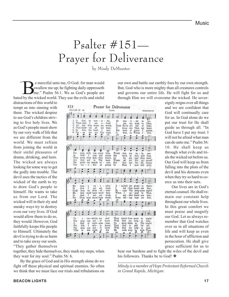# Psalter #151— Prayer for Deliverance

by Mindy DeMeester

 $\sim$ Example merciful unto me, O God: for man would<br>swallow me up; he fighting daily oppresseth<br>me." Psalm 56:1. We as God's people are<br>by the wicked world. They use the ouils and sinful swallow me up; he fighting daily oppresseth me." Psalm 56:1. We as God's people are hated by the wicked world. They use the evils and sinful

distractions of this world to tempt us into sinning with them. The wicked despise to see God's children striving to live holy lives. We as God's people must show by our very walk of life that we are different from the world. We must refrain from joining the world in their sinful pleasures of drama, drinking, and lusts. The wicked are always looking for some way to get the godly into trouble. The devil uses the tactics of the wicked of the earth to try to draw God's people to himself. He wants to take us from our Lord. The wicked will in their sly and sneaky ways try to destroy even our very lives. If God would allow them to do so, they would. However, God faithfully keeps His people to Himself. Ultimately the devil is trying to do us harm and to take away our souls. "They gather themselves

| 151 | PSALM 56 6a                                |                       |                     |                                       |             | CANA                                  | Prayer for Deliverance                                                                        |                  |                   |                             |                | Anonymous                       |
|-----|--------------------------------------------|-----------------------|---------------------|---------------------------------------|-------------|---------------------------------------|-----------------------------------------------------------------------------------------------|------------------|-------------------|-----------------------------|----------------|---------------------------------|
|     |                                            |                       |                     |                                       |             |                                       |                                                                                               |                  |                   |                             |                |                                 |
|     |                                            |                       |                     |                                       |             |                                       |                                                                                               |                  |                   |                             |                |                                 |
|     |                                            |                       |                     |                                       |             | 2. What time I am a fraid I           | 1. 0 Gol, be mer - ci - ful. Be                                                               | pat -            |                   | 19行 - 石 - 垣<br>nry trust in | <b>Bo</b>      | me.<br>Thee:                    |
|     |                                            |                       |                     |                                       |             | 3. All day they wrest my words.       |                                                                                               | Their tho'ts are |                   | full of                     |                | haste;                          |
|     | 4. Thou know - est<br>5. In God, the Lord, |                       |                     | aIl                                   |             | my woes,<br>I rest,                   | 0<br>H's                                                                                      | ward             | iness - une<br>ve | Thou<br><b>STACE</b>        | <b>BY</b><br>ı | \$8.0000<br>praise,             |
|     |                                            |                       |                     |                                       |             | 6. Up - on me are Thy rews.           | о.                                                                                            | God.             | m                 | When                        | I              | <b>Use:</b>                     |
|     |                                            | e.                    | £.                  |                                       |             | a.                                    | c                                                                                             |                  |                   |                             |                |                                 |
|     |                                            |                       |                     |                                       |             |                                       |                                                                                               |                  |                   |                             |                |                                 |
|     |                                            |                       |                     |                                       |             |                                       |                                                                                               |                  |                   |                             |                |                                 |
|     |                                            |                       |                     |                                       |             |                                       |                                                                                               |                  |                   |                             |                |                                 |
|     | ţS                                         |                       |                     |                                       |             |                                       |                                                                                               |                  |                   |                             |                |                                 |
|     | Fur                                        | man, with             |                     | з                                     | con - stant | hate.                                 | Weald                                                                                         | fain             | ЩY                | m                           | m              | see.                            |
|     | Iп                                         | God                   | I.                  | rest, and                             |             | praise                                | His-                                                                                          | word,            | sa                | rich                        | and.           | free:                           |
|     | They<br>Аль                                |                       | meet, they          | lurk, they                            |             | watch                                 | As:                                                                                           | lar.             | my                | szel                        |                | they wait;                      |
|     | Нĸ                                         | they                  | DOT:                | in                                    | Thy         | book,<br>prom - iso stands se - care, | Where<br>Nor                                                                                  | аll<br>fear      | DF<br>Dir         | Шe<br>Boo-                  |                | ap - pours?<br>dis - mays;      |
|     | The                                        |                       |                     | $500 - E1 - E00$                      | ÷           | praise                                | T <sub>D</sub>                                                                                | Thee             | -1                | 8647                        |                | will give;                      |
|     |                                            |                       |                     |                                       |             |                                       |                                                                                               |                  |                   |                             |                |                                 |
|     |                                            |                       |                     |                                       |             |                                       |                                                                                               |                  |                   |                             |                |                                 |
|     |                                            |                       |                     |                                       |             |                                       |                                                                                               |                  |                   |                             |                |                                 |
|     |                                            |                       |                     |                                       |             |                                       |                                                                                               |                  |                   |                             |                |                                 |
|     |                                            |                       |                     |                                       |             |                                       |                                                                                               |                  |                   |                             |                |                                 |
|     |                                            |                       |                     |                                       |             |                                       |                                                                                               |                  |                   |                             |                | A - gainst me proud - by fight; |
|     |                                            |                       |                     |                                       |             |                                       | My man - y on - a - mine a - game - ther duebt now                                            |                  |                   |                             |                | Jear.                           |
|     |                                            |                       |                     |                                       |             |                                       | Shall they by wick - all - near Ea - cape Thy judg-ment right?                                |                  |                   |                             |                |                                 |
|     | In God                                     |                       | - 1                 |                                       |             |                                       | My foes shall back-ward turn. When I ap - peal to<br>put my trust, I net ther deabt nor fear, |                  |                   |                             |                | Thee.                           |
|     | Fur                                        |                       |                     |                                       |             |                                       | Thou hast saved from death. From fall - ing kept me                                           |                  |                   |                             |                | firee.                          |
|     |                                            |                       |                     |                                       |             |                                       |                                                                                               |                  |                   |                             |                |                                 |
|     |                                            |                       |                     |                                       |             |                                       |                                                                                               |                  |                   |                             |                |                                 |
|     |                                            |                       |                     |                                       |             |                                       |                                                                                               |                  |                   |                             |                |                                 |
|     |                                            |                       |                     |                                       |             |                                       |                                                                                               |                  |                   |                             |                |                                 |
|     |                                            |                       |                     |                                       |             |                                       |                                                                                               |                  |                   |                             |                |                                 |
|     |                                            |                       |                     |                                       |             |                                       |                                                                                               |                  |                   |                             |                |                                 |
|     | Τъ<br>For .                                | D<br>$\,$ $\,$<br>man |                     | ver-whelm my soul<br>$can$ $ner - or$ |             | <b>barn</b>                           | They watch from morn to<br>With                                                               |                  |                   | God my help or near.        |                | night.                          |
|     | о.                                         | God                   | иl                  |                                       |             | right-sque - moss.                    | De -                                                                                          |                  |                   | atroy them in               |                | Thy taight.                     |
|     | Bir                                        | this                  | ı                   | $sare - ir$                           |             | know.                                 | That                                                                                          | God in           |                   | still                       |                | for me.                         |
|     | Pop<br>Tîñt                                | morn<br>9m            | $_{\rm ran}$<br>the | $n\times -n$<br>light of              |             | <b>International</b><br>life          | With<br>Mт                                                                                    | God              | my<br>walk may    | help - or<br>bo             | with           | near.<br>Thee.                  |
|     |                                            |                       |                     |                                       |             |                                       |                                                                                               |                  |                   |                             |                | e.                              |
|     |                                            |                       |                     |                                       |             |                                       |                                                                                               |                  |                   |                             |                |                                 |

our own and battle our earthly foes by our own strength. But, God who is more mighty than all creatures controls and governs our entire life. He will fight for us and through Him we will overcome the wicked. He sover-

> eignly reigns over all things and we are confident that God will continually care for us. In God alone do we put our trust for He shall guide us through all. "In God have I put my trust: I will not be afraid what man can do unto me." Psalm 56: 10. He shall keep us through what evils and trials the wicked set before us. Our God will keep us from falling into the plots of the devil and his demons even when they try so hard to coerce us into their nets.

> Our lives are in God's eternal counsel. He shall remain our constant help throughout our whole lives. In this great comfort we must praise and magnify our God. Let us always remember that God watches over us in all situations of life and will keep us even in the hour of affliction and persecution. He shall give grace sufficient for us to

together, they hide themselves, they mark my steps, when they wait for my soul." Psalm 56: 6.

By the grace of God and in His strength alone do we fight off these physical and spiritual enemies. So often we think that we must face our trials and tribulations on bear our burdens and to fight the wiles of the devil and his followers. Thanks be to God! ❖

*Mindy is a member of Hope Protestant Reformed Church in Grand Rapids, Michigan.*

*\_\_\_\_\_\_\_\_\_\_\_\_\_\_\_\_\_\_\_\_\_\_\_\_\_\_\_\_\_\_\_\_\_\_\_\_\_\_\_\_\_\_\_\_\_\_\_\_*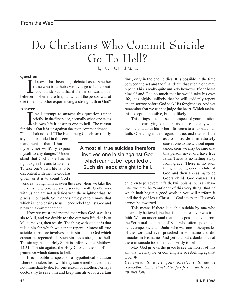# Do Christians Who Commit Suicide Go To Hell?

by Rev. Richard Moore

#### **Question**

know it has been long debated as to whether<br>those who take their own lives go to hell or not.<br>I could understand that if the person was an un-<br>believer his/her entire life, but what if the person was at know it has been long debated as to whether those who take their own lives go to hell or not. I could understand that if the person was an unone time or another experiencing a strong faith in God?

#### **Answer**

will attempt to answer this question rather<br>briefly. In the first place, normally when one takes<br>his own life it destines one to hell. The reason will attempt to answer this question rather briefly. In the first place, normally when one takes for this is that it is sin against the sixth commandment— "Thou shalt not kill." The Heidelberg Catechism rightly

says that included in this commandment is that "I hurt not myself, nor willfully expose myself to any danger." Understand that God alone has the right to give life and to take life. To take one's own life is to be discontent with the life God has given, or it is to count God's

work as wrong. This is even the case when we take the life of a neighbor, we are discontent with God's way with us and are not satisfied with the neighbor that He places in our path. So in dark sin we plot to remove that which is not pleasing to us. Hence rebel against God and break this commandment.

Now we must understand that when God says it is sin to kill, and we decide to take our own life that is to kill ourselves, then we sin. The thing with suicide is that it is a sin for which we cannot repent. Almost all true suicides therefore involves one in sin against God which cannot be repented of. Such sin leads straight to hell. The sin against the Holy Spirit is unforgivable, Matthew 12:31. The sin against the Holy Ghost is the sin of impenitence which damns to hell.

It is possible to speak of a hypothetical situation where one takes his own life by some method and does not immediately die, for one reason or another. Perhaps doctors try to save him and keep him alive for a certain

time, only in the end he dies. It is possible in the time between the act and the final death that such a one may repent. This is really quite unlikely however. If one hates himself and God so much that he would take his own life, it is highly unlikely that he will suddenly repent and in sorrow before God seek His forgiveness. And yet remember that we cannot judge the heart. Which makes this exception possible, but not likely.

This brings us to the second aspect of your question and that is our trying to understand this especially when the one that takes his or her life seems to us to have had faith. One thing in this regard is true, and that is if the

> act of suicide immediately causes one to die without repentance, then we may be sure that this person never did have true faith. There is no falling away from grace. There is no such thing as being once a child of God and then a ceasing to be God's child. God causes His

children to persevere in faith. Philippians 1:6 is an absolute, we may be "confident of this very thing, that he which hath begun a good work in you will perform it until the day of Jesus Christ…" God saves and His work cannot be thwarted.

This means if there is such a suicide by one who apparently believed, the fact is that there never was true faith. We can understand that this is possible even from the Scriptural examples of Saul who often spoke as a believer speaks, and of Judas who was one of the apostles of the Lord and even preached in His name and did miracles in His name. And yet without a doubt both of these in suicide took the path swiftly to hell.

May God give us the grace to see the horror of this sin, that we may never contemplate so rebelling against God. ❖

*Remember to write your questions to me at revmo@mtc1.mtcnet.net Also feel free to write follow up questions.*

Almost all true suicides therefore involves one in sin against God which cannot be repented of. Such sin leads straight to hell.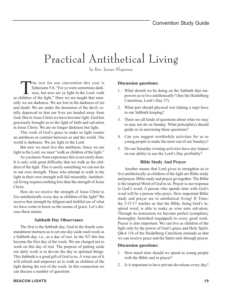# Practical Antithetical Living

by Rev. James Slopsema

The text for our convention this year is<br>Ephesians 5:8, "For ye were sometimes dark-<br>ness, but now are ye light in the Lord: walk<br>hildren of the light" Here we are tought that natu Ephesians 5:8, "For ye were sometimes darkas children of the light." Here we are taught that naturally we are darkness. We are lost in the darkness of sin and death. We are under the dominion of the devil, totally depraved so that our lives are headed away from God. But in Jesus Christ we have become light. God has graciously brought us to the light of faith and salvation in Jesus Christ. We are no longer darkness but light.

This work of God's grace to make us light creates an antithesis or contrast between us and the world. The world is darkness. We are light in the Lord.

But now we must live this antithesis. Since we are light in the Lord, we must "walk as children of the light."

As you know from experience this is not easily done. It is only with great difficulty that we walk as the children of the light. This is surely something we can not do in our own strength. Those who attempt to walk in the light in their own strength will fail miserably. Antithetical living requires nothing less than the strength of Jesus Christ.

How do we receive the strength of Jesus Christ to live antithetically every day as children of the light? We receive that strength by diligent and faithful use of what we have come to know as the means of grace. Let's discuss these means.

#### **Sabbath Day Observance**

The first is the Sabbath day. God in the fourth commandment instructs us to set one day aside each week as a Sabbath day, i.e., as a day of rest. In the NT this has become the first day of the week. We are charged not to work on this day of rest. The purpose of putting aside our daily work is to devote the day to spiritual things. This Sabbath is a good gift of God to us. A wise use of it will refresh and empower us to walk as children of the light during the rest of the week. In this connection we can discuss a number of questions.

#### **Discussion questions:**

- 1. What should we be doing on the Sabbath that empowers us to live antithetically? (See the Heidelberg Catechism, Lord's Day 37)
- 2. What part should physical rest (taking a nap) have in our Sabbath keeping?
- 3. There are all kinds of questions about what we may or may not do on Sunday. What principle(s) should guide us in answering these questions?
- 4. Can you suggest worthwhile activities for us as young people to make the most out of our Sundays?
- 5. Do our Saturday evening activities have any impact on our ability to use the Lord's Day profitably?

#### **Bible Study And Prayer**

Another means that Lord gives to strengthen us to live antithetically as children of the light are Bible study and prayer. Bible study and prayer go together. The Bible is the inspired Word of God to us. Prayer is our response to God's word. A person who spends time with God's word will be a person who prays. How important Bible study and prayer are to antithetical living! II Timothy 3:15-17 teaches us that the Bible, being God's inspired word, is able to make us wise unto salvation. Through its instruction we become perfect (complete), thoroughly furnished (equipped) to every good work. Prayer is also important. We can live as children of the light only by the power of God's grace and Holy Spirit. Q&A 116 of the Heidelberg Catechism reminds us that we can receive grace and the Spirit only through prayer.

#### **Discussion questions:**

- 1. How much time should we spend as young people with the Bible and in prayer?
- 2. Is it important to have private devotions every day?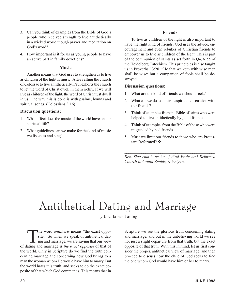- 3. Can you think of examples from the Bible of God's people who received strength to live antithetically in a wicked world though prayer and meditation on God's word?
- 4. How important is it for us as young people to have an active part in family devotions?

#### **Music**

Another means that God uses to strengthen us to live as children of the light is music. After calling the church of Colossae to live antithetically, Paul exhorts the church to let the word of Christ dwell in them richly. If we will live as children of the light, the word of Christ must dwell in us. One way this is done is with psalms, hymns and spiritual songs. (Colossians 3:16)

#### **Discussion questions:**

- 1. What effect does the music of the world have on our spiritual life?
- 2. What guidelines can we make for the kind of music we listen to and sing?

#### **Friends**

To live as children of the light is also important to have the right kind of friends. God uses the advice, encouragement and even rebukes of Christian friends to empower us to live as children of the light. This is part of the communion of saints as set forth in Q&A 55 of the Heidelberg Catechism. This principles is also taught us in Proverbs 13:20, "He that walketh with wise men shall be wise: but a companion of fools shall be destroyed."

#### **Discussion questions:**

- 1. What are the kind of friends we should seek?
- 2. What can we do to cultivate spiritual discussion with our friends?
- 3. Think of examples from the Bible of saints who were helped to live antithetically by good friends.
- 4. Think of examples from the Bible of those who were misguided by bad friends.
- 5. Must we limit our friends to those who are Protestant Reformed? ❖

*\_\_\_\_\_\_\_\_\_\_\_\_\_\_\_\_\_\_\_\_\_\_\_\_\_\_\_\_\_\_\_\_\_\_\_\_\_\_\_\_\_\_\_\_\_\_\_\_ Rev. Slopsema is pastor of First Protestant Reformed Church in Grand Rapids, Michigan.*

# Antithetical Dating and Marriage

by Rev. James Laning

The word *antithesis* means "the exact opposite." So when we speak of antithetical dating and marriage, we are saying that our view site." So when we speak of antithetical datof dating and marriage is *the exact opposite* of that of the world. Only in Scripture do we find the truth concerning marriage and concerning how God brings to a man the woman whom He would have him to marry. But the world hates this truth, and seeks to do the exact opposite of that which God commands. This means that in

Scripture we see the glorious truth concerning dating and marriage, and out in the unbelieving world we see not just a slight departure from that truth, but the exact opposite of that truth. With this in mind, let us first consider the proper, antithetical view of marriage, and then proceed to discuss how the child of God seeks to find the one whom God would have him or her to marry.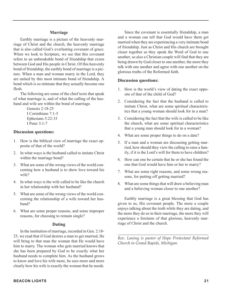#### **Marriage**

Earthly marriage is a picture of the heavenly marriage of Christ and the church, the heavenly marriage that is also called God's everlasting covenant of grace. When we look to Scripture, we see that this covenant refers to an unbreakable bond of friendship that exists between God and His people in Christ. Of this heavenly bond of friendship, the earthly bond of marriage is a picture. When a man and woman marry in the Lord, they are united by this most intimate bond of friendship. A bond which is so intimate that they actually become one flesh.

The following are some of the chief texts that speak of what marriage is, and of what the calling of the husband and wife are within the bond of marriage.

> Genesis 2:18-25 I Corinthians 7:1-5 Ephesians 5:22-33 I Peter 3:1-7

#### **Discussion questions:**

- 1. How is the biblical view of marriage the exact opposite of that of the world?
- 2. In what ways is the husband called to imitate Christ within the marriage bond?
- 3. What are some of the wrong views of the world concerning how a husband is to show love toward his wife?
- 4. In what ways is the wife called to be like the church in her relationship with her husband?
- 5. What are some of the wrong views of the world concerning the relationship of a wife toward her husband?
- 6. What are some proper reasons, and some improper reasons, for choosing to remain single?

#### **Dating**

In the institution of marriage, recorded in Gen. 2:18- 25, we read that if God desires a man to get married, He will bring to that man the woman that He would have him to marry. The woman who gets married knows that she has been prepared by God to be exactly what her husband needs to complete him. As the husband grows to know and love his wife more, he sees more and more clearly how his wife is exactly the woman that he needs.

Since the covenant is essentially friendship, a man and a woman can tell that God would have them get married when they are experiencing a very intimate bond of friendship. Just as Christ and His church are brought closer together as they speak the Word of God to one another, so also a Christian couple will find that they are being drawn by God closer to one another, the more they talk with one another and agree with one another on the glorious truths of the Reformed faith.

#### **Discussion questions:**

- 1. How is the world's view of dating the exact opposite of that of the child of God?
- 2. Considering the fact that the husband is called to imitate Christ, what are some spiritual characteristics that a young woman should look for in a man?
- 3. Considering the fact that the wife is called to be like the church, what are some spiritual characteristics that a young man should look for in a woman?
- 4. What are some proper things to do on a date?
- 5. If a man and a woman are discussing getting married, how should they view the calling to raise a family, if it is the Lord's will for them to have children?
- 6. How can one be certain that he or she has found the one that God would have him or her to marry?
- 7. What are some right reasons, and some wrong reasons, for putting off getting married?
- 8. What are some things that will draw a believing man and a believing woman closer to one another?

Earthly marriage is a great blessing that God has given to us, His covenant people. The more a couple enjoys talking about the truth while they are dating, and the more they do so in their marriage, the more they will experience a foretaste of that glorious, heavenly marriage of Christ and the church.

*\_\_\_\_\_\_\_\_\_\_\_\_\_\_\_\_\_\_\_\_\_\_\_\_\_\_\_\_\_\_\_\_\_\_\_\_\_\_\_\_\_\_\_\_\_\_\_ Rev. Laning is pastor of Hope Protestant Reformed Church in Grand Rapids, Michigan.*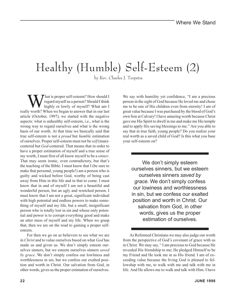# Healthy (Humble) Self-Esteem (2)

by Rev. Charles J. Terpstra

What is proper self-esteem? How should I<br>regard myself as a person? Should I think<br>highly or lowly of myself? What am I regard myself as a person? Should I think highly or lowly of myself? What am I really worth? When we began to answer that in our last article (October, 1997), we started with the negative aspects: what is unhealthy self-esteem, i.e., what is the wrong way to regard ourselves and what is the wrong basis of our worth. At that time we basically said that true self-esteem is not a *proud* but *humble* estimation of ourselves. Proper self-esteem must not be *self* (man) centered but *God*-centered. That means that in order to have a proper estimation of myself and a true sense of my worth, I must first of all know myself to be a *sinner*. That may seem ironic, even contradictory, but that's the teaching of the Bible. I must know that I (be sure to make that personal, young people!) am a person who is guilty and wicked before God, worthy of being cast away from Him in this life and in that to come. I must know that in and of myself I am not a beautiful and wonderful person, but an ugly and wretched person. I must know that I am not a great, significant individual with high potential and endless powers to make something of myself and my life, but a small, insignificant person who is totally lost in sin and whose only potential and power is to corrupt everything good and make an utter mess of myself and my life. When we grasp that, then we are on the road to gaining a proper selfesteem.

For then we go on as believers to see what we are in *Christ* and to value ourselves based on what *God* has made us and given us. We don't simply esteem ourselves sinners, but we esteem ourselves sinners *saved by grace*. We don't simply confess our lowliness and worthlessness in sin, but we confess our exalted position and worth in Christ. Our salvation from God, in other words, gives us the proper estimation of ourselves.

We say with humility yet confidence, "I am a precious person in the sight of God because He loved me and chose me to be one of His children even from eternity! I am of great value because I was purchased by the blood of God's own Son at Calvary! I have amazing worth because Christ gave me His Spirit to dwell in me and make me His temple and to apply His saving blessings to me." Are you able to say that in true faith, young people? Do you realize your real worth as a saved child of God? Is this what you base your self-esteem on?

We don't simply esteem ourselves sinners, but we esteem ourselves sinners *saved by grace*. We don't simply confess our lowiness and worthlessness in sin, but we confess our exalted position and worth in Christ. Our salvation from God, in other words, gives us the proper estimation of ourselves.

As Reformed Christians we may also judge our worth from the perspective of God's covenant of grace with us in Christ. We may say, " I am precious to God because He revealed His friendship to me; He pledged Himself to be my Friend and He took me in as His friend. I am of exceeding value because the living God is pleased to fellowship with me, to walk with me and talk with me in life. And He allows me to walk and talk with Him. I have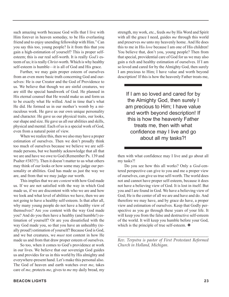such amazing worth because God wills that I live with Him forever in heaven someday, to be His everlasting friend and to enjoy unending fellowship with Him." Can you say this too, young people? Is it from this that you gain a high-estimation of yourself? This is proper selfesteem; this is our real self-worth. It is really *God's* esteem of us; it is really *Christ*-worth. Which is why healthy self-esteem is humble—it is all of God and His grace.

Further, we may gain proper esteem of ourselves from an even more basic truth concerning God and ourselves: He is our Creator and the God of Providence to us. We believe that though we are sinful creatures, we are still the special handiwork of God. He planned in His eternal counsel that He would make us and form us to be exactly what He willed. And in time that's what He did. He formed us in our mother's womb by a miraculous work. He gave us our own unique personality and character. He gave us our physical traits, our looks, our shape and size. He gave us all our abilities and skills, physical and mental. Each of us is a special work of God, even from a natural point of view.

When we realize this, then we also may have a proper estimation of ourselves. Then we don't proudly think too much of ourselves because we believe we are selfmade persons, but we humbly acknowledge that all that we are and have we owe to God (Remember Ps. 139 and Psalter #383?!). Then it doesn't matter to us what others may think of our looks or how some may judge our personality or abilities. God has made us just the way we are, and from that we may judge our worth.

This implies that we are *content* with how God made us. If we are not satisfied with the way in which God made us, if we are discontent with who we are and how we look and what level of abilities we have, then we are not going to have a healthy self-esteem. Is that after all, why many young people do not have a healthy view of themselves? Are *you* content with the way God made you? And do you then have a healthy (and humble!) estimation of yourself? Or are you dissatisfied with the way God made you, so that you have an unhealthy (really proud!) estimation of yourself? Because God is God, and we but creatures, we *must* rest content in how He made us and from that draw proper esteem of ourselves.

So too, when it comes to God's providence at work in our lives. We believe that our sovereign God guides us and provides for us in this world by His almighty and everywhere-present hand. Let's make this personal also. The God of heaven and earth watches over *me*, takes care of *me*, protects *me*, gives to *me* my daily bread, my strength, my work, etc., feeds *me* by His Word and Spirit with all the grace I need, guides *me* through this world and preserves *me* unto my heavenly home. And He does this to me in His *love* because I am one of His children! You believe that, don't you, young people? Then from that special, providential care of God for us we may also gain a rich and healthy estimation of ourselves. If I am so loved and cared for by the Almighty God, then surely I am precious to Him; I have value and worth beyond description! If this is how the heavenly Father treats me,

If I am so loved and cared for by the Almighty God, then surely I am precious to Him; I have value and worth beyond description! If this is how the heavenly Father treats me, then with what confidence may I live and go about all my tasks?!

then with what confidence may I live and go about all my tasks?!

Do you see how this all works? Only a *God*-centered perspective can give to you and me a proper view of ourselves, can give us true self-worth. The world does not and cannot have proper self-esteem, because it does not have a believing view of God. It is lost in itself. But you and I are found in God. We have a believing view of God; He is the center of all we are and have and do. And therefore we may have, and by grace do have, a proper view and estimation of ourselves. Keep that Godly perspective as you go through these years of your life. It will keep you from the false and destructive self-esteem of the world. It will keep you humble before your God, which is the principle of true self-esteem. ❖

*\_\_\_\_\_\_\_\_\_\_\_\_\_\_\_\_\_\_\_\_\_\_\_\_\_\_\_\_\_\_\_\_\_\_\_\_\_\_\_\_\_\_\_\_\_\_\_\_\_ Rev. Terpstra is pastor of First Protestant Reformed Church in Holland, Michigan.*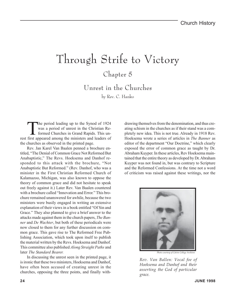# Through Strife to Victory

### Chapter 5

Unrest in the Churches

by Rev. C. Hanko

The period leading up to the Synod of 1924<br>was a period of unrest in the Christian Re-<br>formed Churches in Grand Rapids. This un-<br>first appeared among the ministers and leaders of was a period of unrest in the Christian Reformed Churches in Grand Rapids. This unrest first appeared among the ministers and leaders of the churches as observed in the printed page.

Rev. Jan Karel Van Baalen penned a brochure entitled, "The Denial of Common Grace Not Reformed But Anabaptistic," The Revs. Hoeksema and Danhof responded to this attack with the brochure, "Not Anabaptistic But Reformed." (Rev. Danhof, who was a minister in the First Christian Reformed Church of Kalamazoo, Michigan, was also known to oppose the theory of common grace and did not hesitate to speak out freely against it.) Later Rev. Van Baalen countered with a brochure called "Innovation and Error." This brochure remained unanswered for awhile, because the two ministers were busily engaged in writing an extensive explanation of their views in a book entitled "Of Sin and Grace." They also planned to give a brief answer to the attacks made against them in the church papers, *The Banner* and *De Wachter*, but both of these periodicals were now closed to them for any further discussion on common grace. This gave rise to The Reformed Free Publishing Association, which took upon itself to publish the material written by the Revs. Hoeksema and Danhof. This committee also published *Along Straight Paths* and later *The Standard Bearer.*

In discussing the unrest seen in the printed page, it is ironic that these two ministers, Hoeksema and Danhof, have often been accused of creating unrest in the churches, opposing the three points, and finally withdrawing themselves from the denomination, and thus creating schism in the churches as if their stand was a completely new idea. This is not true. Already in 1918 Rev. Hoeksema wrote a series of articles in *The Banner* as editor of the department "Our Doctrine," which clearly exposed the error of common grace as taught by Dr. Abraham Kuyper. In these articles, Rev Hoeksema maintained that the entire theory as developed by Dr. Abraham Kuyper was not found in, but was contrary to Scripture and the Reformed Confessions. At the time not a word of criticism was raised against these writings, nor the



*Photo courtesy of Calvin College Archives*

*Rev. Van Ballen: Vocal foe of Hoeksema and Danhof and their asserting the God of particular grace.*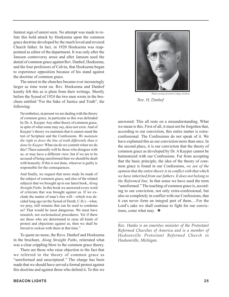faintest sign of unrest seen. No attempt was made to refute this bold attack by Hoeksema upon the common grace doctrine developed by the much loved and revered Church father. In fact, in 1920 Hoeksema was reappointed as editor of the department. It was only after the Janssen controversy arose and after Janssen used the denial of common grace against Rev. Danhof, Hoeksema, and the four professors of Calvin, that Hoeksema began to experience opposition because of his stand against the doctrine of common grace.

The unrest in the churches became ever increasingly larger as time went on. Rev. Hoeksema and Danhof keenly felt this as is plain from their writings. Shortly before the Synod of 1924 the two men wrote in the brochure entitled "For the Sake of Justice and Truth", the following:

Nevertheless, at present we are dealing with the theory of common grace, in particular as this was defended by Dr. A. Kuyper. Any other theory of common grace, in spite of what some may say, does not exist. And of Kuyper's theory we maintain that it cannot stand the test of Scripture and the Confessions. *We maintain the right to draw the line of truth differently than is done by Kuyper.* What sin do we commit when we do this? There naturally will be those who disagree with us, or may have a different view; but if we are to be accused of being unreformed then we should be dealt with honestly. If this is not done, whoever is guilty is responsible for the consequences.

And finally, we request that more study be made of the subject of common grace, and also of the related subjects that we brought up in our latest book, *Along Straight Paths*. In this book we answered every word of criticism that was brought against us. If we exclude the matter of man's free will—which was decided long ago (at the Synod of Dordt, C.H.)—what, we pray, still remains that can be used to condemn us? That would be most dangerous. We must have research, not ecclesiastical procedures. Yet if there are those who are determined to raise all kinds of protest and objections against us, then we shall be forced to reckon with them at that time."

To quote no more, the Revs. Danhof and Hoeksema in the brochure, *Along Straight Paths*, reiterated what was a clear crippling blow to the common grace theory.

There are those who raise objection to the fact that we referred to the theory of common grace as "unreformed and unscriptural." The charge has been made that we should have served a formal protest against this doctrine and against those who defend it. To this we



*Photo courtesy of Calvin College Archives Rev. H. Danhof*

answered: This all rests on a misunderstanding. What we mean is this. First of all, it must not be forgotten that, according to our conviction, this entire matter is extraconfessional. The Confessions do not speak of it. We have explained this as our conviction more than once. In the second place, it is our conviction that the theory of common grace as developed by Dr. A Kuyper cannot be harmonized with our Confessions. Far from accepting that the basic principle, the idea of the theory of common grace is found in our Confessions, *we are of the opinion that the entire theory is in conflict with that which we have inherited from our fathers. It does not belong to the Reformed line.* In that sense we have used the term "unreformed." The teaching of common grace is, according to our conviction, not only extra-confessional, but also so completely in conflict with our Confessions, that it can never form an integral part of them.…For the Lord's sake we shall continue to fight for our convictions, come what may. ❖

*Rev. Hanko is an emeritus minister of the Protestant Reformed Churches of America and is a member of Hudsonville Protestant Reformed Church in Hudsonville, Michigan.*

*\_\_\_\_\_\_\_\_\_\_\_\_\_\_\_\_\_\_\_\_\_\_\_\_\_\_\_\_\_\_\_\_\_\_\_\_\_\_\_\_\_\_\_\_\_\_\_\_\_*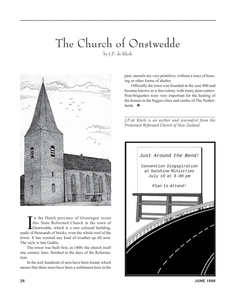# The Church of Onstwedde

by J.P. de Klerk



In the Dutch province of Groningen exists<br>this State Reformed Church in the town of<br>Onstwedde, which is a rare colossal building,<br>made of thousands of bricks; even the whole roof of the n the Dutch province of Groningen exists this State Reformed Church in the town of LOnstwedde, which is a rare colossal building, tower. It has resisted any kind of weather up till now. The style is late Gothic.

The tower was built first, in 1400; the church itself one century later, finished in the days of the Reformation.

In the soil, hundreds of urns have been found, which means that there must have been a settlement here in the past; utensils are very primitive, without a trace of housing or other forms of shelter.

Officially the town was founded in the year 800 and became known as a fen-colony with many peat-cutters. Peat-briquettes were very important for the heating of the houses in the bigger cities and castles of The Netherlands. ❖

\_\_\_\_\_\_\_\_\_\_\_\_\_\_\_\_\_\_\_\_\_\_\_\_\_\_\_\_\_\_\_\_\_\_\_\_\_\_\_\_\_\_\_\_\_\_\_ *J.P.de Klerk is an author and journalist from the Protestant Reformed Church of New Zeeland.*

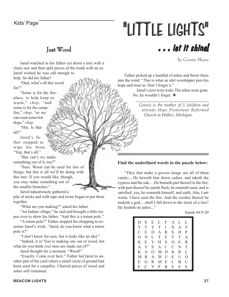# Kids' Page **"LITTLE LIGHTS"**

### Just Wood

by Connie Meyer

. . . let it shine!

Jared watched as his father cut down a tree with a chain saw and then split pieces of the trunk with an ax. Jared wished he was old enough to

help. So did his father! "Dad, what's all this wood for?"

"Some is for the fireplace, to help keep us warm," *chop*, "and some is for the campfire," *chop*, "so we can roast some hot dogs," *chop*.

"Hm. Is that all?"

Jared's father stopped to wipe his brow. "Yep, that's all."

"But can't we make something out of it, too?"

"Sure. Wood can be used for lots of things, but this is all we'll be doing with this tree. If you would like, though, you may make something out of the smaller branches."

Jared industriously gathered a pile of sticks and with tape and twine began to put them together.

"What are you making?" asked his father.

"An Indian village," he said and brought a little teepee over to show his father. "And this is a totem pole."

"A totem pole?" Father stopped his chopping to examine Jared's work. "Jared, do you know what a totem pole is?"

"I don't know for sure, but it looks like an idol."

"Indeed, it is! You're making one out of wood, but what do you think *real* ones are made out of?"

Jared thought for a moment. "Wood!"

"Exactly. Come over here." Father led Jared to another part of the yard where a small circle of ground had been used for a campfire. Charred pieces of wood and ashes still remained.

Father picked up a handful of ashes and threw them into the wind. "*That* is what an idol worshipper puts his hope and trust in. Don't forget it."

> Jared's eyes were wide. The ashes were gone. No, he wouldn't forget. ❖

> > *Connie is the mother of 5 children and attends Hope Protestant Reformed Church in Walker, Michigan.*

*\_\_\_\_\_\_\_\_\_\_\_\_\_\_\_\_\_\_\_\_\_\_\_\_\_\_\_\_\_\_\_\_\_\_\_\_\_\_\_\_\_\_\_\_\_\_*

#### **Find the underlined words in the puzzle below:**

"They that make a graven image are all of them vanity;…He heweth him down cedars, and taketh the cypress and the oak.…He burneth part thereof in the fire; with part thereof he eateth flesh; he roasteth roast, and is satisfied: yea, he warmeth himself, and saith, Aha, I am warm, I have seen the fire: And the residue thereof he maketh a god,…shall I fall down to the stock of a tree? He feedeth on ashes..."

Isaiah 44:9-20

| $H^-$        | S            |              | E L F A L L  |              |              |              |                  |
|--------------|--------------|--------------|--------------|--------------|--------------|--------------|------------------|
| Y            | T            | Y            | T            | $\mathbf{I}$ | N            | $\mathsf{A}$ | V                |
| C            | E            | D            | $\mathsf{A}$ | $R_{\perp}$  | S.           | H            | P                |
| O            | N.           |              | L T          | E            | T            | T            | A                |
| K            | E            | V            | H            | S.           | $\Omega$     | Ε            | R                |
| $\mathsf{A}$ | V –          | S.           | A I          |              | $\mathbf{C}$ | N.           | T                |
| K            | $\mathbf{A}$ |              | 0 M D        |              | K            | R            | L                |
| M            | $R_{\perp}$  | $\mathsf{A}$ | W U          |              | $E_{\perp}$  | U            | $\left( \right)$ |
| E            | G            | R.           | M            | $E_{\perp}$  | $\mathbf{I}$ | B            | C                |
| E            | C            | Y            | P            | R.           | $E_{\perp}$  | S            | S                |